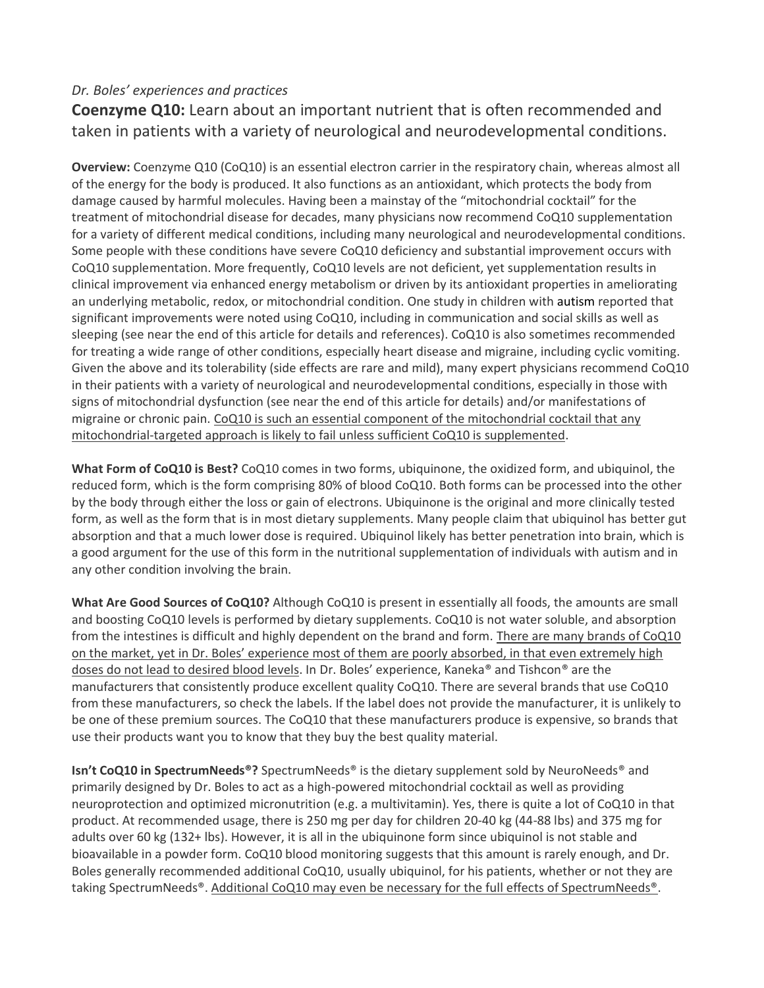## *Dr. Boles' experiences and practices*

**Coenzyme Q10:** Learn about an important nutrient that is often recommended and taken in patients with a variety of neurological and neurodevelopmental conditions.

**Overview:** Coenzyme Q10 (CoQ10) is an essential electron carrier in the respiratory chain, whereas almost all of the energy for the body is produced. It also functions as an antioxidant, which protects the body from damage caused by harmful molecules. Having been a mainstay of the "mitochondrial cocktail" for the treatment of mitochondrial disease for decades, many physicians now recommend CoQ10 supplementation for a variety of different medical conditions, including many neurological and neurodevelopmental conditions. Some people with these conditions have severe CoQ10 deficiency and substantial improvement occurs with CoQ10 supplementation. More frequently, CoQ10 levels are not deficient, yet supplementation results in clinical improvement via enhanced energy metabolism or driven by its antioxidant properties in ameliorating an underlying metabolic, redox, or mitochondrial condition. One study in children with autism reported that significant improvements were noted using CoQ10, including in communication and social skills as well as sleeping (see near the end of this article for details and references). CoQ10 is also sometimes recommended for treating a wide range of other conditions, especially heart disease and migraine, including cyclic vomiting. Given the above and its tolerability (side effects are rare and mild), many expert physicians recommend CoQ10 in their patients with a variety of neurological and neurodevelopmental conditions, especially in those with signs of mitochondrial dysfunction (see near the end of this article for details) and/or manifestations of migraine or chronic pain. CoQ10 is such an essential component of the mitochondrial cocktail that any mitochondrial-targeted approach is likely to fail unless sufficient CoQ10 is supplemented.

**What Form of CoQ10 is Best?** CoQ10 comes in two forms, ubiquinone, the oxidized form, and ubiquinol, the reduced form, which is the form comprising 80% of blood CoQ10. Both forms can be processed into the other by the body through either the loss or gain of electrons. Ubiquinone is the original and more clinically tested form, as well as the form that is in most dietary supplements. Many people claim that ubiquinol has better gut absorption and that a much lower dose is required. Ubiquinol likely has better penetration into brain, which is a good argument for the use of this form in the nutritional supplementation of individuals with autism and in any other condition involving the brain.

**What Are Good Sources of CoQ10?** Although CoQ10 is present in essentially all foods, the amounts are small and boosting CoQ10 levels is performed by dietary supplements. CoQ10 is not water soluble, and absorption from the intestines is difficult and highly dependent on the brand and form. There are many brands of CoQ10 on the market, yet in Dr. Boles' experience most of them are poorly absorbed, in that even extremely high doses do not lead to desired blood levels. In Dr. Boles' experience, Kaneka® and Tishcon® are the manufacturers that consistently produce excellent quality CoQ10. There are several brands that use CoQ10 from these manufacturers, so check the labels. If the label does not provide the manufacturer, it is unlikely to be one of these premium sources. The CoQ10 that these manufacturers produce is expensive, so brands that use their products want you to know that they buy the best quality material.

**Isn't CoQ10 in SpectrumNeeds®?** SpectrumNeeds® is the dietary supplement sold by NeuroNeeds® and primarily designed by Dr. Boles to act as a high-powered mitochondrial cocktail as well as providing neuroprotection and optimized micronutrition (e.g. a multivitamin). Yes, there is quite a lot of CoQ10 in that product. At recommended usage, there is 250 mg per day for children 20-40 kg (44-88 lbs) and 375 mg for adults over 60 kg (132+ lbs). However, it is all in the ubiquinone form since ubiquinol is not stable and bioavailable in a powder form. CoQ10 blood monitoring suggests that this amount is rarely enough, and Dr. Boles generally recommended additional CoQ10, usually ubiquinol, for his patients, whether or not they are taking SpectrumNeeds®. Additional CoQ10 may even be necessary for the full effects of SpectrumNeeds®.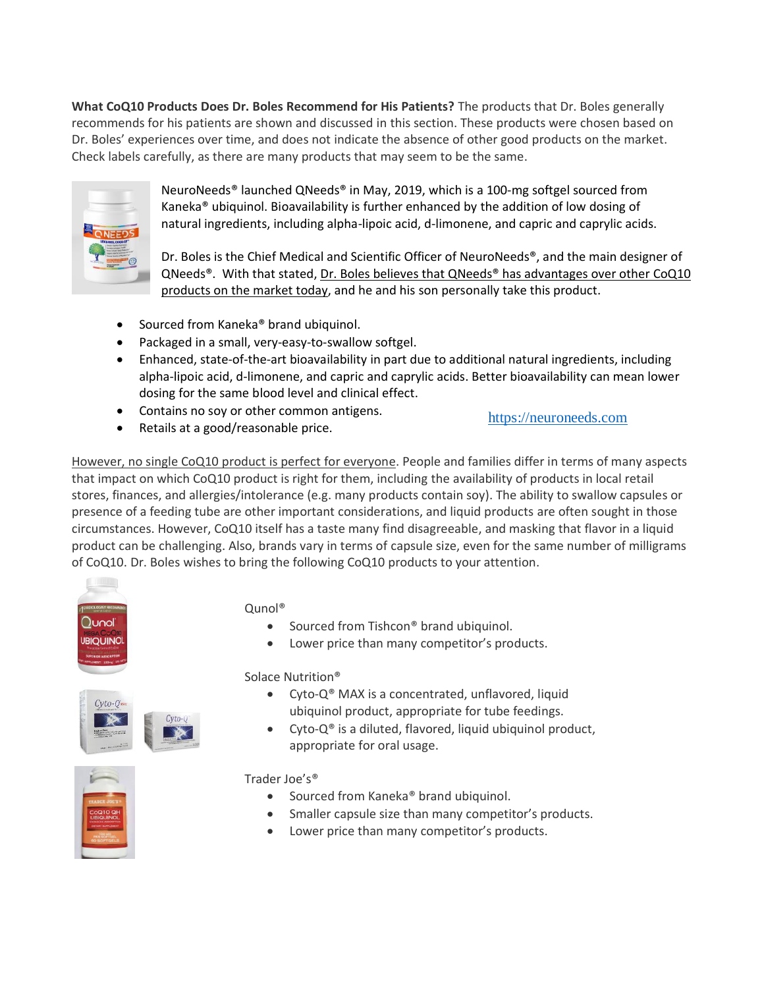**What CoQ10 Products Does Dr. Boles Recommend for His Patients?** The products that Dr. Boles generally recommends for his patients are shown and discussed in this section. These products were chosen based on Dr. Boles' experiences over time, and does not indicate the absence of other good products on the market. Check labels carefully, as there are many products that may seem to be the same.



NeuroNeeds® launched QNeeds® in May, 2019, which is a 100-mg softgel sourced from Kaneka® ubiquinol. Bioavailability is further enhanced by the addition of low dosing of natural ingredients, including alpha-lipoic acid, d-limonene, and capric and caprylic acids.

Dr. Boles is the Chief Medical and Scientific Officer of NeuroNeeds®, and the main designer of QNeeds®. With that stated, Dr. Boles believes that QNeeds® has advantages over other CoQ10 products on the market today, and he and his son personally take this product.

- Sourced from Kaneka® brand ubiquinol.
- Packaged in a small, very-easy-to-swallow softgel.
- Enhanced, state-of-the-art bioavailability in part due to additional natural ingredients, including alpha-lipoic acid, d-limonene, and capric and caprylic acids. Better bioavailability can mean lower dosing for the same blood level and clinical effect.
- Contains no soy or other common antigens.

• Retails at a good/reasonable price.

[https://neuroneeds.com](https://neuroneeds.com/)

However, no single CoQ10 product is perfect for everyone. People and families differ in terms of many aspects that impact on which CoQ10 product is right for them, including the availability of products in local retail stores, finances, and allergies/intolerance (e.g. many products contain soy). The ability to swallow capsules or presence of a feeding tube are other important considerations, and liquid products are often sought in those circumstances. However, CoQ10 itself has a taste many find disagreeable, and masking that flavor in a liquid product can be challenging. Also, brands vary in terms of capsule size, even for the same number of milligrams of CoQ10. Dr. Boles wishes to bring the following CoQ10 products to your attention.



## Qunol®

- Sourced from Tishcon® brand ubiquinol.
- Lower price than many competitor's products.



Solace Nutrition®

- Cyto-Q<sup>®</sup> MAX is a concentrated, unflavored, liquid ubiquinol product, appropriate for tube feedings.
- Cyto-Q® is a diluted, flavored, liquid ubiquinol product, appropriate for oral usage.



## Trader Ine's®

- Sourced from Kaneka® brand ubiquinol.
- Smaller capsule size than many competitor's products.
- Lower price than many competitor's products.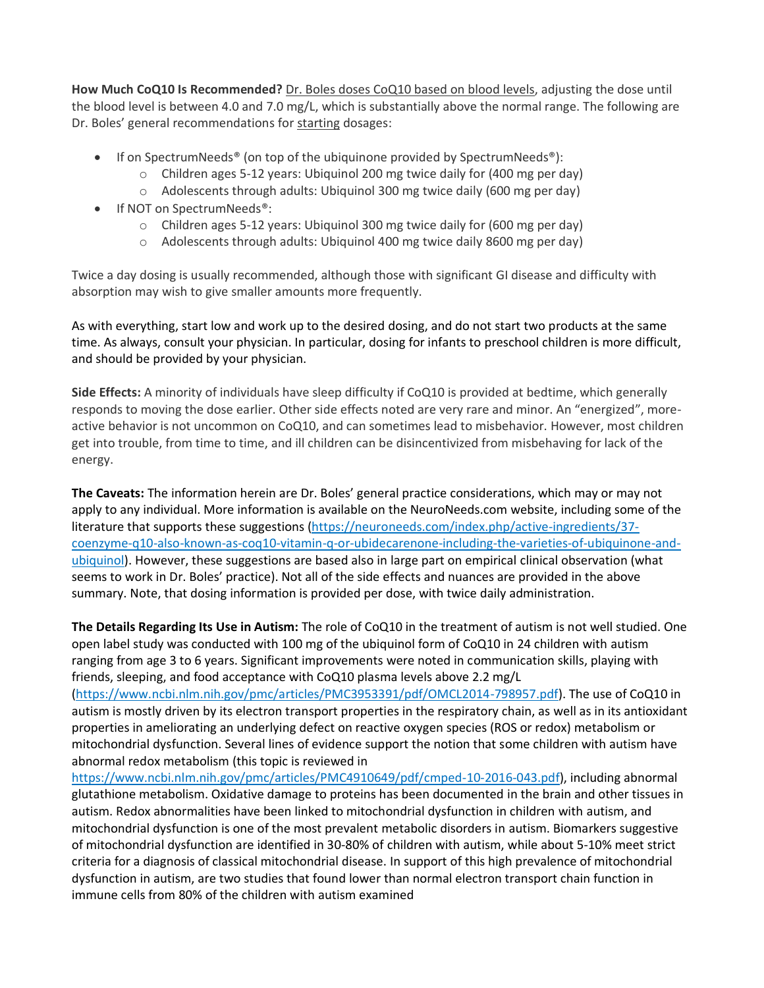**How Much CoQ10 Is Recommended?** Dr. Boles doses CoQ10 based on blood levels, adjusting the dose until the blood level is between 4.0 and 7.0 mg/L, which is substantially above the normal range. The following are Dr. Boles' general recommendations for starting dosages:

- If on SpectrumNeeds<sup>®</sup> (on top of the ubiquinone provided by SpectrumNeeds<sup>®</sup>):
	- $\circ$  Children ages 5-12 years: Ubiquinol 200 mg twice daily for (400 mg per day)
	- o Adolescents through adults: Ubiquinol 300 mg twice daily (600 mg per day)
- If NOT on SpectrumNeeds<sup>®</sup>:
	- o Children ages 5-12 years: Ubiquinol 300 mg twice daily for (600 mg per day)
	- o Adolescents through adults: Ubiquinol 400 mg twice daily 8600 mg per day)

Twice a day dosing is usually recommended, although those with significant GI disease and difficulty with absorption may wish to give smaller amounts more frequently.

As with everything, start low and work up to the desired dosing, and do not start two products at the same time. As always, consult your physician. In particular, dosing for infants to preschool children is more difficult, and should be provided by your physician.

**Side Effects:** A minority of individuals have sleep difficulty if CoQ10 is provided at bedtime, which generally responds to moving the dose earlier. Other side effects noted are very rare and minor. An "energized", moreactive behavior is not uncommon on CoQ10, and can sometimes lead to misbehavior. However, most children get into trouble, from time to time, and ill children can be disincentivized from misbehaving for lack of the energy.

**The Caveats:** The information herein are Dr. Boles' general practice considerations, which may or may not apply to any individual. More information is available on the NeuroNeeds.com website, including some of the literature that supports these suggestions (https://neuroneeds.com/index.php/active-ingredients/37 coenzyme-q10-also-known-as-coq10-vitamin-q-or-ubidecarenone-including-the-varieties-of-ubiquinone-andubiquinol). However, these suggestions are based also in large part on empirical clinical observation (what seems to work in Dr. Boles' practice). Not all of the side effects and nuances are provided in the above summary. Note, that dosing information is provided per dose, with twice daily administration.

**The Details Regarding Its Use in Autism:** The role of CoQ10 in the treatment of autism is not well studied. One open label study was conducted with 100 mg of the ubiquinol form of CoQ10 in 24 children with autism ranging from age 3 to 6 years. Significant improvements were noted in communication skills, playing with friends, sleeping, and food acceptance with CoQ10 plasma levels above 2.2 mg/L

(https://www.ncbi.nlm.nih.gov/pmc/articles/PMC3953391/pdf/OMCL2014-798957.pdf). The use of CoQ10 in autism is mostly driven by its electron transport properties in the respiratory chain, as well as in its antioxidant properties in ameliorating an underlying defect on reactive oxygen species (ROS or redox) metabolism or mitochondrial dysfunction. Several lines of evidence support the notion that some children with autism have abnormal redox metabolism (this topic is reviewed in

https://www.ncbi.nlm.nih.gov/pmc/articles/PMC4910649/pdf/cmped-10-2016-043.pdf), including abnormal glutathione metabolism. Oxidative damage to proteins has been documented in the brain and other tissues in autism. Redox abnormalities have been linked to mitochondrial dysfunction in children with autism, and mitochondrial dysfunction is one of the most prevalent metabolic disorders in autism. Biomarkers suggestive of mitochondrial dysfunction are identified in 30-80% of children with autism, while about 5-10% meet strict criteria for a diagnosis of classical mitochondrial disease. In support of this high prevalence of mitochondrial dysfunction in autism, are two studies that found lower than normal electron transport chain function in immune cells from 80% of the children with autism examined